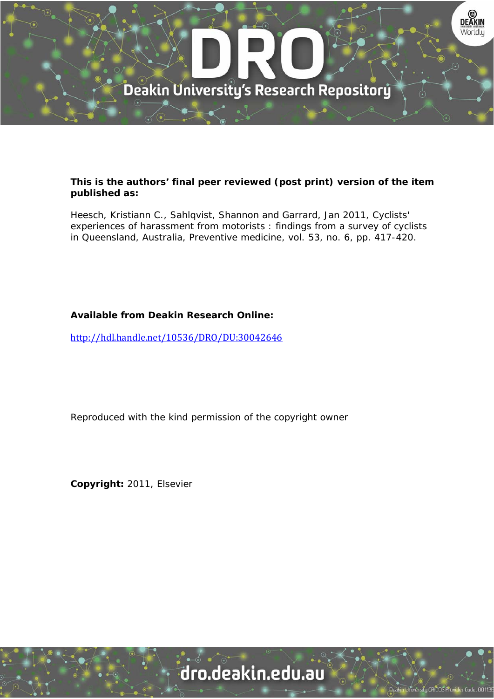

### **This is the authors' final peer reviewed (post print) version of the item published as:**

Heesch, Kristiann C., Sahlqvist, Shannon and Garrard, Jan 2011, Cyclists' experiences of harassment from motorists : findings from a survey of cyclists in Queensland, Australia, Preventive medicine, vol. 53, no. 6, pp. 417-420.

# **Available from Deakin Research Online:**

http://hdl.handle.net/10536/DRO/DU:30042646

Reproduced with the kind permission of the copyright owner

**Copyright:** 2011, Elsevier

# dro.deakin.edu.au

**Jniversity CRICOS Prov**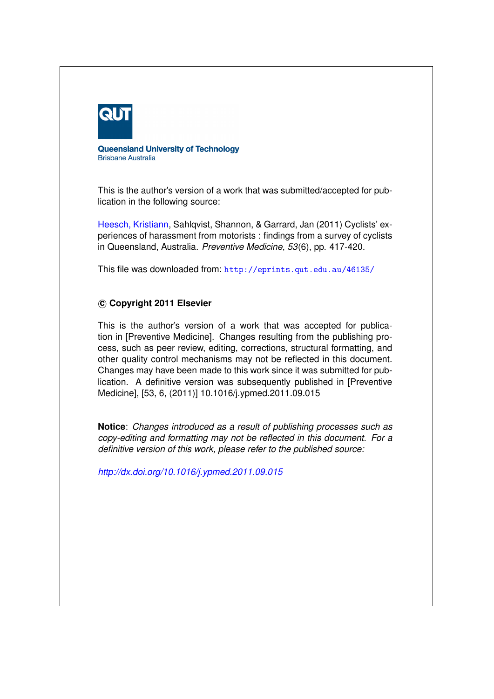

**Queensland University of Technology Brisbane Australia** 

This is the author's version of a work that was submitted/accepted for publication in the following source:

[Heesch, Kristiann,](http://eprints.qut.edu.au/view/person/Heesch,_Kristiann.html) Sahlqvist, Shannon, & Garrard, Jan (2011) Cyclists' experiences of harassment from motorists : findings from a survey of cyclists in Queensland, Australia. *Preventive Medicine*, *53*(6), pp. 417-420.

This file was downloaded from: <http://eprints.qut.edu.au/46135/>

#### **c Copyright 2011 Elsevier**

This is the author's version of a work that was accepted for publication in [Preventive Medicine]. Changes resulting from the publishing process, such as peer review, editing, corrections, structural formatting, and other quality control mechanisms may not be reflected in this document. Changes may have been made to this work since it was submitted for publication. A definitive version was subsequently published in [Preventive Medicine], [53, 6, (2011)] 10.1016/j.ypmed.2011.09.015

**Notice**: *Changes introduced as a result of publishing processes such as copy-editing and formatting may not be reflected in this document. For a definitive version of this work, please refer to the published source:*

*<http://dx.doi.org/10.1016/j.ypmed.2011.09.015>*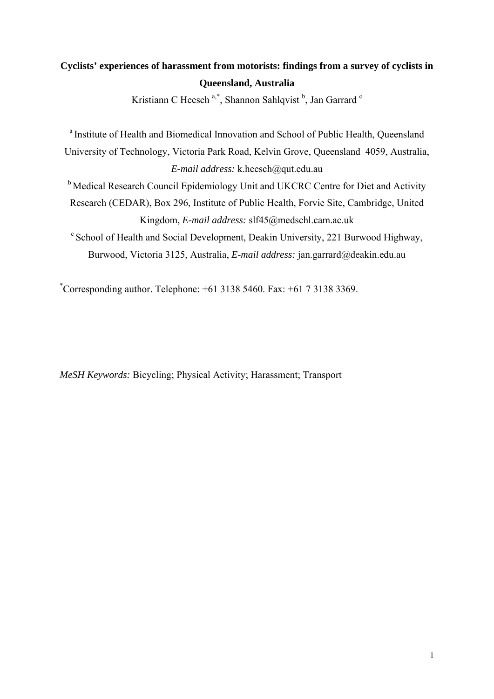# **Cyclists' experiences of harassment from motorists: findings from a survey of cyclists in Queensland, Australia**

Kristiann C Heesch<sup>a,\*</sup>, Shannon Sahlqvist<sup>b</sup>, Jan Garrard c

<sup>a</sup> Institute of Health and Biomedical Innovation and School of Public Health, Queensland University of Technology, Victoria Park Road, Kelvin Grove, Queensland 4059, Australia, *E-mail address:* k.heesch@qut.edu.au

<sup>b</sup> Medical Research Council Epidemiology Unit and UKCRC Centre for Diet and Activity Research (CEDAR), Box 296, Institute of Public Health, Forvie Site, Cambridge, United Kingdom, *E-mail address:* slf45@medschl.cam.ac.uk

c School of Health and Social Development, Deakin University, 221 Burwood Highway, Burwood, Victoria 3125, Australia, *E-mail address:* jan.garrard@deakin.edu.au

\* Corresponding author. Telephone: +61 3138 5460. Fax: +61 7 3138 3369.

*MeSH Keywords:* Bicycling; Physical Activity; Harassment; Transport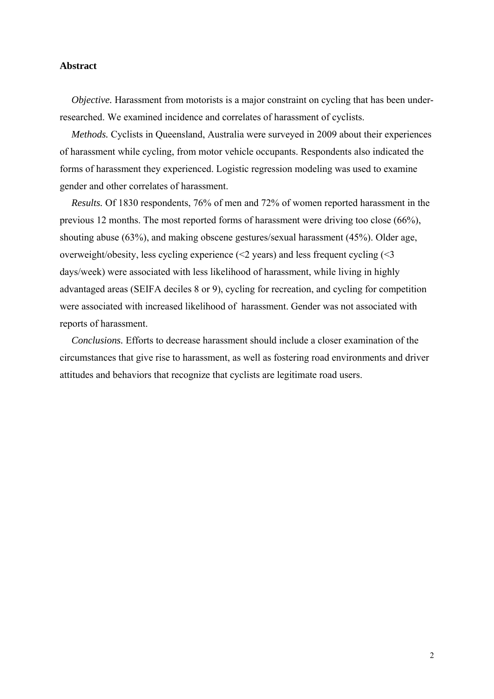#### **Abstract**

*Objective*. Harassment from motorists is a major constraint on cycling that has been underresearched. We examined incidence and correlates of harassment of cyclists.

*Methods.* Cyclists in Queensland, Australia were surveyed in 2009 about their experiences of harassment while cycling, from motor vehicle occupants. Respondents also indicated the forms of harassment they experienced. Logistic regression modeling was used to examine gender and other correlates of harassment.

*Results.* Of 1830 respondents, 76% of men and 72% of women reported harassment in the previous 12 months. The most reported forms of harassment were driving too close (66%), shouting abuse (63%), and making obscene gestures/sexual harassment (45%). Older age, overweight/obesity, less cycling experience  $(\leq 2 \text{ years})$  and less frequent cycling  $(\leq 3 \text{ years})$ days/week) were associated with less likelihood of harassment, while living in highly advantaged areas (SEIFA deciles 8 or 9), cycling for recreation, and cycling for competition were associated with increased likelihood of harassment. Gender was not associated with reports of harassment.

*Conclusions.* Efforts to decrease harassment should include a closer examination of the circumstances that give rise to harassment, as well as fostering road environments and driver attitudes and behaviors that recognize that cyclists are legitimate road users.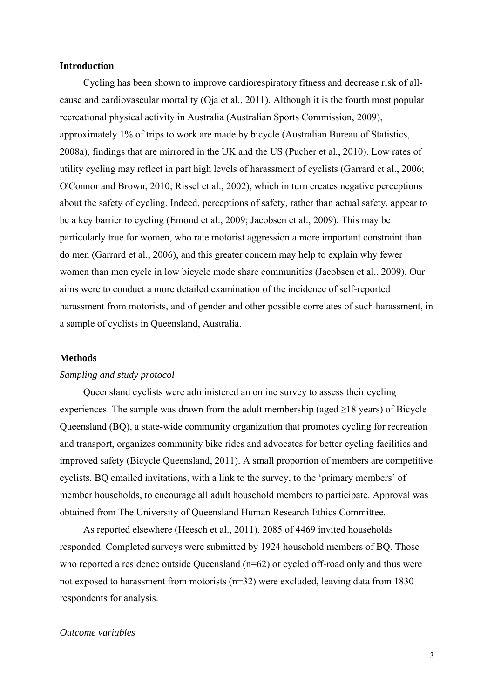#### **Introduction**

Cycling has been shown to improve cardiorespiratory fitness and decrease risk of allcause and cardiovascular mortality (Oja et al., 2011). Although it is the fourth most popular recreational physical activity in Australia (Australian Sports Commission, 2009), approximately 1% of trips to work are made by bicycle (Australian Bureau of Statistics, 2008a), findings that are mirrored in the UK and the US (Pucher et al., 2010). Low rates of utility cycling may reflect in part high levels of harassment of cyclists (Garrard et al., 2006; O'Connor and Brown, 2010; Rissel et al., 2002), which in turn creates negative perceptions about the safety of cycling. Indeed, perceptions of safety, rather than actual safety, appear to be a key barrier to cycling (Emond et al., 2009; Jacobsen et al., 2009). This may be particularly true for women, who rate motorist aggression a more important constraint than do men (Garrard et al., 2006), and this greater concern may help to explain why fewer women than men cycle in low bicycle mode share communities (Jacobsen et al., 2009). Our aims were to conduct a more detailed examination of the incidence of self-reported harassment from motorists, and of gender and other possible correlates of such harassment, in a sample of cyclists in Queensland, Australia.

#### **Methods**

#### *Sampling and study protocol*

Queensland cyclists were administered an online survey to assess their cycling experiences. The sample was drawn from the adult membership (aged  $>18$  years) of Bicycle Queensland (BQ), a state-wide community organization that promotes cycling for recreation and transport, organizes community bike rides and advocates for better cycling facilities and improved safety (Bicycle Queensland, 2011). A small proportion of members are competitive cyclists. BQ emailed invitations, with a link to the survey, to the 'primary members' of member households, to encourage all adult household members to participate. Approval was obtained from The University of Queensland Human Research Ethics Committee.

As reported elsewhere (Heesch et al., 2011), 2085 of 4469 invited households responded. Completed surveys were submitted by 1924 household members of BQ. Those who reported a residence outside Oueensland  $(n=62)$  or cycled off-road only and thus were not exposed to harassment from motorists (n=32) were excluded, leaving data from 1830 respondents for analysis.

#### *Outcome variables*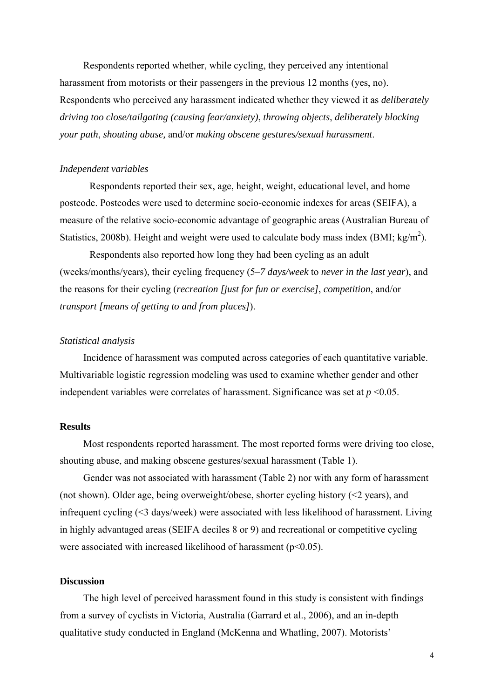Respondents reported whether, while cycling, they perceived any intentional harassment from motorists or their passengers in the previous 12 months (yes, no). Respondents who perceived any harassment indicated whether they viewed it as *deliberately driving too close/tailgating (causing fear/anxiety)*, *throwing objects*, *deliberately blocking your path*, *shouting abuse,* and/or *making obscene gestures/sexual harassment*.

#### *Independent variables*

Respondents reported their sex, age, height, weight, educational level, and home postcode. Postcodes were used to determine socio-economic indexes for areas (SEIFA), a measure of the relative socio-economic advantage of geographic areas (Australian Bureau of Statistics, 2008b). Height and weight were used to calculate body mass index (BMI; kg/m<sup>2</sup>).

Respondents also reported how long they had been cycling as an adult (weeks/months/years), their cycling frequency (5*–7 days/week* to *never in the last year*), and the reasons for their cycling (*recreation [just for fun or exercise]*, *competition*, and/or *transport [means of getting to and from places]*).

#### *Statistical analysis*

Incidence of harassment was computed across categories of each quantitative variable. Multivariable logistic regression modeling was used to examine whether gender and other independent variables were correlates of harassment. Significance was set at  $p \leq 0.05$ .

#### **Results**

Most respondents reported harassment. The most reported forms were driving too close, shouting abuse, and making obscene gestures/sexual harassment (Table 1).

Gender was not associated with harassment (Table 2) nor with any form of harassment (not shown). Older age, being overweight/obese, shorter cycling history  $( $2$  years), and$ infrequent cycling (<3 days/week) were associated with less likelihood of harassment. Living in highly advantaged areas (SEIFA deciles 8 or 9) and recreational or competitive cycling were associated with increased likelihood of harassment  $(p<0.05)$ .

#### **Discussion**

The high level of perceived harassment found in this study is consistent with findings from a survey of cyclists in Victoria, Australia (Garrard et al., 2006), and an in-depth qualitative study conducted in England (McKenna and Whatling, 2007). Motorists'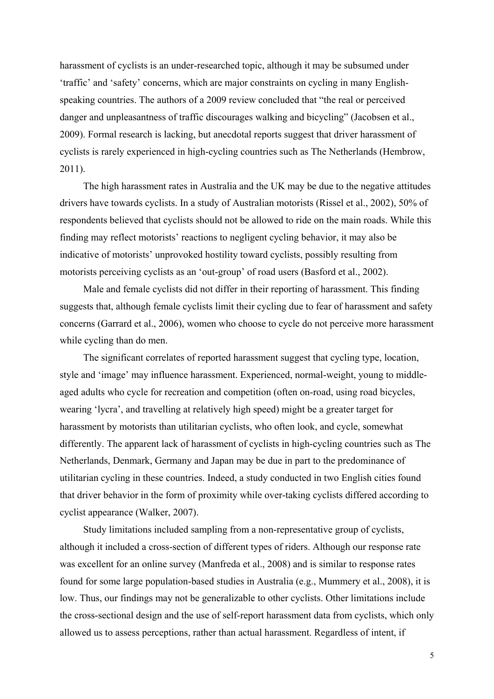harassment of cyclists is an under-researched topic, although it may be subsumed under 'traffic' and 'safety' concerns, which are major constraints on cycling in many Englishspeaking countries. The authors of a 2009 review concluded that "the real or perceived danger and unpleasantness of traffic discourages walking and bicycling" (Jacobsen et al., 2009). Formal research is lacking, but anecdotal reports suggest that driver harassment of cyclists is rarely experienced in high-cycling countries such as The Netherlands (Hembrow, 2011).

The high harassment rates in Australia and the UK may be due to the negative attitudes drivers have towards cyclists. In a study of Australian motorists (Rissel et al., 2002), 50% of respondents believed that cyclists should not be allowed to ride on the main roads. While this finding may reflect motorists' reactions to negligent cycling behavior, it may also be indicative of motorists' unprovoked hostility toward cyclists, possibly resulting from motorists perceiving cyclists as an 'out-group' of road users (Basford et al., 2002).

Male and female cyclists did not differ in their reporting of harassment. This finding suggests that, although female cyclists limit their cycling due to fear of harassment and safety concerns (Garrard et al., 2006), women who choose to cycle do not perceive more harassment while cycling than do men.

The significant correlates of reported harassment suggest that cycling type, location, style and 'image' may influence harassment. Experienced, normal-weight, young to middleaged adults who cycle for recreation and competition (often on-road, using road bicycles, wearing 'lycra', and travelling at relatively high speed) might be a greater target for harassment by motorists than utilitarian cyclists, who often look, and cycle, somewhat differently. The apparent lack of harassment of cyclists in high-cycling countries such as The Netherlands, Denmark, Germany and Japan may be due in part to the predominance of utilitarian cycling in these countries. Indeed, a study conducted in two English cities found that driver behavior in the form of proximity while over-taking cyclists differed according to cyclist appearance (Walker, 2007).

Study limitations included sampling from a non-representative group of cyclists, although it included a cross-section of different types of riders. Although our response rate was excellent for an online survey (Manfreda et al., 2008) and is similar to response rates found for some large population-based studies in Australia (e.g., Mummery et al., 2008), it is low. Thus, our findings may not be generalizable to other cyclists. Other limitations include the cross-sectional design and the use of self-report harassment data from cyclists, which only allowed us to assess perceptions, rather than actual harassment. Regardless of intent, if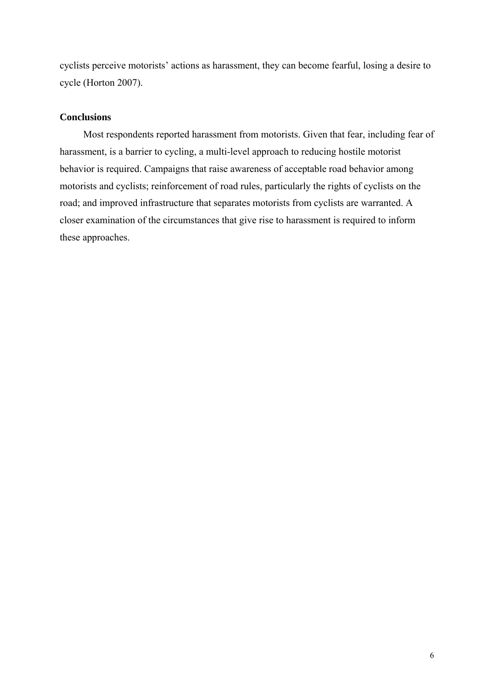cyclists perceive motorists' actions as harassment, they can become fearful, losing a desire to cycle (Horton 2007).

## **Conclusions**

Most respondents reported harassment from motorists. Given that fear, including fear of harassment, is a barrier to cycling, a multi-level approach to reducing hostile motorist behavior is required. Campaigns that raise awareness of acceptable road behavior among motorists and cyclists; reinforcement of road rules, particularly the rights of cyclists on the road; and improved infrastructure that separates motorists from cyclists are warranted. A closer examination of the circumstances that give rise to harassment is required to inform these approaches.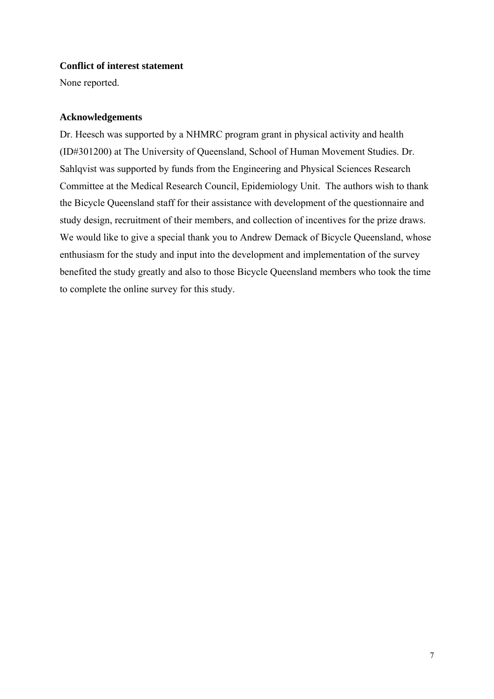#### **Conflict of interest statement**

None reported.

#### **Acknowledgements**

Dr. Heesch was supported by a NHMRC program grant in physical activity and health (ID#301200) at The University of Queensland, School of Human Movement Studies. Dr. Sahlqvist was supported by funds from the Engineering and Physical Sciences Research Committee at the Medical Research Council, Epidemiology Unit. The authors wish to thank the Bicycle Queensland staff for their assistance with development of the questionnaire and study design, recruitment of their members, and collection of incentives for the prize draws. We would like to give a special thank you to Andrew Demack of Bicycle Queensland, whose enthusiasm for the study and input into the development and implementation of the survey benefited the study greatly and also to those Bicycle Queensland members who took the time to complete the online survey for this study.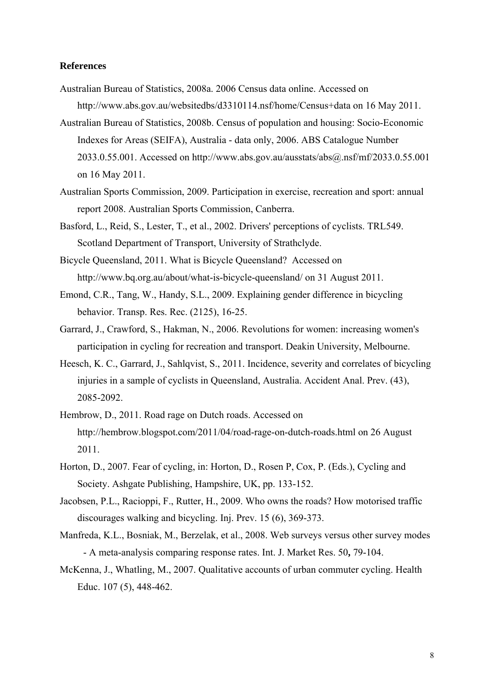#### **References**

- Australian Bureau of Statistics, 2008a. 2006 Census data online. Accessed on http://www.abs.gov.au/websitedbs/d3310114.nsf/home/Census+data on 16 May 2011.
- Australian Bureau of Statistics, 2008b. Census of population and housing: Socio-Economic Indexes for Areas (SEIFA), Australia - data only, 2006. ABS Catalogue Number 2033.0.55.001. Accessed on http://www.abs.gov.au/ausstats/abs@.nsf/mf/2033.0.55.001 on 16 May 2011.
- Australian Sports Commission, 2009. Participation in exercise, recreation and sport: annual report 2008. Australian Sports Commission, Canberra.
- Basford, L., Reid, S., Lester, T., et al., 2002. Drivers' perceptions of cyclists. TRL549. Scotland Department of Transport, University of Strathclyde.
- Bicycle Queensland, 2011. What is Bicycle Queensland? Accessed on http://www.bq.org.au/about/what-is-bicycle-queensland/ on 31 August 2011.
- Emond, C.R., Tang, W., Handy, S.L., 2009. Explaining gender difference in bicycling behavior. Transp. Res. Rec. (2125), 16-25.
- Garrard, J., Crawford, S., Hakman, N., 2006. Revolutions for women: increasing women's participation in cycling for recreation and transport. Deakin University, Melbourne.
- Heesch, K. C., Garrard, J., Sahlqvist, S., 2011. Incidence, severity and correlates of bicycling injuries in a sample of cyclists in Queensland, Australia. Accident Anal. Prev. (43), 2085-2092.
- Hembrow, D., 2011. Road rage on Dutch roads. Accessed on http://hembrow.blogspot.com/2011/04/road-rage-on-dutch-roads.html on 26 August 2011.
- Horton, D., 2007. Fear of cycling, in: Horton, D., Rosen P, Cox, P. (Eds.), Cycling and Society. Ashgate Publishing, Hampshire, UK, pp. 133-152.
- Jacobsen, P.L., Racioppi, F., Rutter, H., 2009. Who owns the roads? How motorised traffic discourages walking and bicycling. Inj. Prev. 15 (6), 369-373.
- Manfreda, K.L., Bosniak, M., Berzelak, et al., 2008. Web surveys versus other survey modes - A meta-analysis comparing response rates. Int. J. Market Res. 50**,** 79-104.
- McKenna, J., Whatling, M., 2007. Qualitative accounts of urban commuter cycling. Health Educ. 107 (5), 448-462.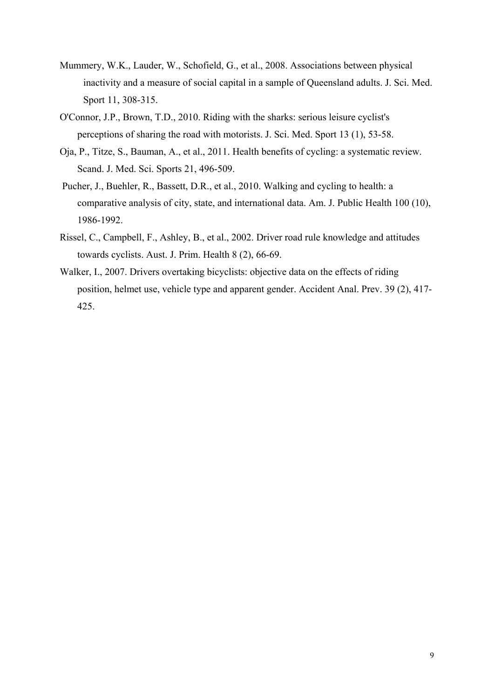- Mummery, W.K., Lauder, W., Schofield, G., et al., 2008. Associations between physical inactivity and a measure of social capital in a sample of Queensland adults. J. Sci. Med. Sport 11, 308-315.
- O'Connor, J.P., Brown, T.D., 2010. Riding with the sharks: serious leisure cyclist's perceptions of sharing the road with motorists. J. Sci. Med. Sport 13 (1), 53-58.
- Oja, P., Titze, S., Bauman, A., et al., 2011. Health benefits of cycling: a systematic review. Scand. J. Med. Sci. Sports 21, 496-509.
- Pucher, J., Buehler, R., Bassett, D.R., et al., 2010. Walking and cycling to health: a comparative analysis of city, state, and international data. Am. J. Public Health 100 (10), 1986-1992.
- Rissel, C., Campbell, F., Ashley, B., et al., 2002. Driver road rule knowledge and attitudes towards cyclists. Aust. J. Prim. Health 8 (2), 66-69.
- Walker, I., 2007. Drivers overtaking bicyclists: objective data on the effects of riding position, helmet use, vehicle type and apparent gender. Accident Anal. Prev. 39 (2), 417- 425.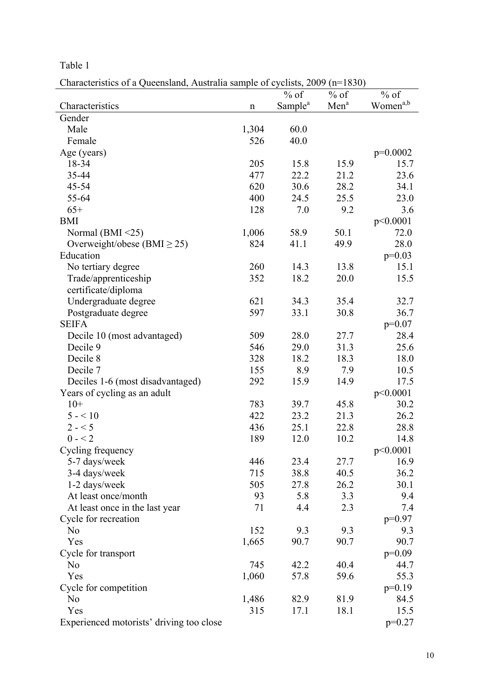Table 1

Characteristics of a Queensland, Australia sample of cyclists, 2009 (n=1830)

|                                          |             | $%$ of              | $%$ of           | $%$ of               |
|------------------------------------------|-------------|---------------------|------------------|----------------------|
| Characteristics                          | $\mathbf n$ | Sample <sup>a</sup> | Men <sup>a</sup> | Women <sup>a,b</sup> |
| Gender                                   |             |                     |                  |                      |
| Male                                     | 1,304       | 60.0                |                  |                      |
| Female                                   | 526         | 40.0                |                  |                      |
| Age (years)                              |             |                     |                  | p=0.0002             |
| 18-34                                    | 205         | 15.8                | 15.9             | 15.7                 |
| 35-44                                    | 477         | 22.2                | 21.2             | 23.6                 |
| 45-54                                    | 620         | 30.6                | 28.2             | 34.1                 |
| 55-64                                    | 400         | 24.5                | 25.5             | 23.0                 |
| $65+$                                    | 128         | 7.0                 | 9.2              | 3.6                  |
| <b>BMI</b>                               |             |                     |                  | p<0.0001             |
| Normal (BMI $\leq$ 25)                   | 1,006       | 58.9                | 50.1             | 72.0                 |
| Overweight/obese (BMI $\geq$ 25)         | 824         | 41.1                | 49.9             | 28.0                 |
| Education                                |             |                     |                  | $p=0.03$             |
| No tertiary degree                       | 260         | 14.3                | 13.8             | 15.1                 |
| Trade/apprenticeship                     | 352         | 18.2                | 20.0             | 15.5                 |
| certificate/diploma                      |             |                     |                  |                      |
| Undergraduate degree                     | 621         | 34.3                | 35.4             | 32.7                 |
| Postgraduate degree                      | 597         | 33.1                | 30.8             | 36.7                 |
| <b>SEIFA</b>                             |             |                     |                  | $p=0.07$             |
| Decile 10 (most advantaged)              | 509         | 28.0                | 27.7             | 28.4                 |
| Decile 9                                 | 546         | 29.0                | 31.3             | 25.6                 |
| Decile 8                                 | 328         | 18.2                | 18.3             | 18.0                 |
| Decile 7                                 | 155         | 8.9                 | 7.9              | 10.5                 |
| Deciles 1-6 (most disadvantaged)         | 292         | 15.9                | 14.9             | 17.5                 |
| Years of cycling as an adult             |             |                     |                  | p<0.0001             |
| $10+$                                    | 783         | 39.7                | 45.8             | 30.2                 |
| $5 - 10$                                 | 422         | 23.2                | 21.3             | 26.2                 |
| $2 - 5$                                  | 436         | 25.1                | 22.8             | 28.8                 |
| $0 - 2$                                  | 189         | 12.0                | 10.2             | 14.8                 |
| Cycling frequency                        |             |                     |                  | p<0.0001             |
| 5-7 days/week                            | 446         | 23.4                | 27.7             | 16.9                 |
| 3-4 days/week                            | 715         | 38.8                | 40.5             | 36.2                 |
| 1-2 days/week                            | 505         | 27.8                | 26.2             | 30.1                 |
| At least once/month                      | 93          | 5.8                 | 3.3              | 9.4                  |
| At least once in the last year           | 71          | 4.4                 | 2.3              | 7.4                  |
| Cycle for recreation                     |             |                     |                  | $p=0.97$             |
| N <sub>0</sub>                           | 152         | 9.3                 | 9.3              | 9.3                  |
| Yes                                      | 1,665       | 90.7                | 90.7             | 90.7                 |
| Cycle for transport                      |             |                     |                  | $p=0.09$             |
| N <sub>0</sub>                           | 745         | 42.2                | 40.4             | 44.7                 |
| Yes                                      | 1,060       | 57.8                | 59.6             | 55.3                 |
| Cycle for competition                    |             |                     |                  | $p=0.19$             |
| N <sub>0</sub>                           | 1,486       | 82.9                | 81.9             | 84.5                 |
| Yes                                      | 315         | 17.1                | 18.1             | 15.5                 |
| Experienced motorists' driving too close |             |                     |                  | $p=0.27$             |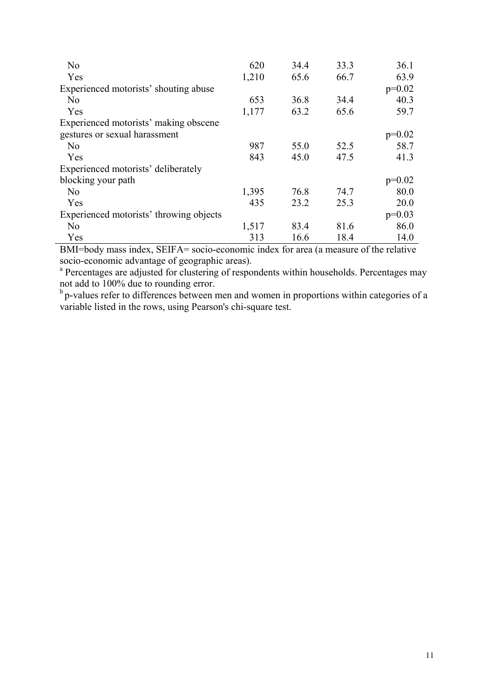| N <sub>0</sub>                          | 620   | 34.4 | 33.3 | 36.1     |
|-----------------------------------------|-------|------|------|----------|
| Yes                                     | 1,210 | 65.6 | 66.7 | 63.9     |
| Experienced motorists' shouting abuse   |       |      |      | $p=0.02$ |
| N <sub>0</sub>                          | 653   | 36.8 | 34.4 | 40.3     |
| Yes                                     | 1,177 | 63.2 | 65.6 | 59.7     |
| Experienced motorists' making obscene   |       |      |      |          |
| gestures or sexual harassment           |       |      |      | $p=0.02$ |
| No                                      | 987   | 55.0 | 52.5 | 58.7     |
| Yes                                     | 843   | 45.0 | 47.5 | 41.3     |
| Experienced motorists' deliberately     |       |      |      |          |
| blocking your path                      |       |      |      | $p=0.02$ |
| N <sub>0</sub>                          | 1,395 | 76.8 | 74.7 | 80.0     |
| Yes                                     | 435   | 23.2 | 25.3 | 20.0     |
| Experienced motorists' throwing objects |       |      |      | $p=0.03$ |
| N <sub>0</sub>                          | 1,517 | 83.4 | 81.6 | 86.0     |
| Yes                                     | 313   | 16.6 | 18.4 | 14.0     |

BMI=body mass index, SEIFA= socio-economic index for area (a measure of the relative socio-economic advantage of geographic areas).

<sup>a</sup> Percentages are adjusted for clustering of respondents within households. Percentages may not add to 100% due to rounding error.

 $b$  p-values refer to differences between men and women in proportions within categories of a variable listed in the rows, using Pearson's chi-square test.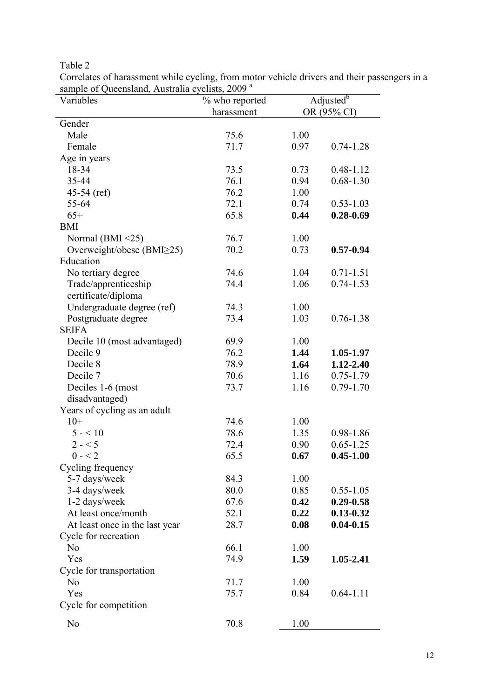Table 2

| Correlates of harassment while cycling, from motor vehicle drivers and their passengers in a                                                                                                                                                                                                                                       |                        |  |
|------------------------------------------------------------------------------------------------------------------------------------------------------------------------------------------------------------------------------------------------------------------------------------------------------------------------------------|------------------------|--|
| sample of Queensland, Australia cyclists, 2009 <sup>a</sup>                                                                                                                                                                                                                                                                        |                        |  |
| $\mathbf{v}$ $\mathbf{v}$ $\mathbf{v}$ $\mathbf{v}$ $\mathbf{v}$ $\mathbf{v}$ $\mathbf{v}$ $\mathbf{v}$ $\mathbf{v}$ $\mathbf{v}$ $\mathbf{v}$ $\mathbf{v}$ $\mathbf{v}$ $\mathbf{v}$ $\mathbf{v}$ $\mathbf{v}$ $\mathbf{v}$ $\mathbf{v}$ $\mathbf{v}$ $\mathbf{v}$ $\mathbf{v}$ $\mathbf{v}$ $\mathbf{v}$ $\mathbf{v}$ $\mathbf{$ | $0/1$ 1 1 $\uparrow$ 1 |  |

| Variables                        | % who reported |      | Adjusted <sup>b</sup> |
|----------------------------------|----------------|------|-----------------------|
|                                  | harassment     |      | OR (95% CI)           |
| Gender                           |                |      |                       |
| Male                             | 75.6           | 1.00 |                       |
| Female                           | 71.7           | 0.97 | $0.74 - 1.28$         |
| Age in years                     |                |      |                       |
| 18-34                            | 73.5           | 0.73 | $0.48 - 1.12$         |
| 35-44                            | 76.1           | 0.94 | $0.68 - 1.30$         |
| 45-54 (ref)                      | 76.2           | 1.00 |                       |
| 55-64                            | 72.1           | 0.74 | $0.53 - 1.03$         |
| $65+$                            | 65.8           | 0.44 | $0.28 - 0.69$         |
| <b>BMI</b>                       |                |      |                       |
| Normal (BMI $\leq$ 25)           | 76.7           | 1.00 |                       |
| Overweight/obese $(BMI \geq 25)$ | 70.2           | 0.73 | $0.57 - 0.94$         |
| Education                        |                |      |                       |
|                                  |                |      |                       |
| No tertiary degree               | 74.6           | 1.04 | $0.71 - 1.51$         |
| Trade/apprenticeship             | 74.4           | 1.06 | $0.74 - 1.53$         |
| certificate/diploma              |                |      |                       |
| Undergraduate degree (ref)       | 74.3           | 1.00 |                       |
| Postgraduate degree              | 73.4           | 1.03 | $0.76 - 1.38$         |
| <b>SEIFA</b>                     |                |      |                       |
| Decile 10 (most advantaged)      | 69.9           | 1.00 |                       |
| Decile 9                         | 76.2           | 1.44 | 1.05-1.97             |
| Decile 8                         | 78.9           | 1.64 | 1.12-2.40             |
| Decile 7                         | 70.6           | 1.16 | $0.75 - 1.79$         |
| Deciles 1-6 (most                | 73.7           | 1.16 | $0.79 - 1.70$         |
| disadvantaged)                   |                |      |                       |
| Years of cycling as an adult     |                |      |                       |
| $10+$                            | 74.6           | 1.00 |                       |
| $5 - 10$                         | 78.6           | 1.35 | 0.98-1.86             |
| $2 - 5$                          | 72.4           | 0.90 | $0.65 - 1.25$         |
| $0 - 2$                          | 65.5           | 0.67 | $0.45 - 1.00$         |
| Cycling frequency                |                |      |                       |
| 5-7 days/week                    | 84.3           | 1.00 |                       |
| 3-4 days/week                    | 80.0           | 0.85 | $0.55 - 1.05$         |
| 1-2 days/week                    | 67.6           | 0.42 | $0.29 - 0.58$         |
| At least once/month              | 52.1           | 0.22 | $0.13 - 0.32$         |
| At least once in the last year   | 28.7           | 0.08 | $0.04 - 0.15$         |
| Cycle for recreation             |                |      |                       |
| N <sub>0</sub>                   | 66.1           | 1.00 |                       |
| Yes                              | 74.9           | 1.59 | 1.05-2.41             |
| Cycle for transportation         |                |      |                       |
| N <sub>0</sub>                   | 71.7           | 1.00 |                       |
| Yes                              | 75.7           | 0.84 | $0.64 - 1.11$         |
| Cycle for competition            |                |      |                       |
|                                  |                |      |                       |
| N <sub>0</sub>                   | 70.8           | 1.00 |                       |